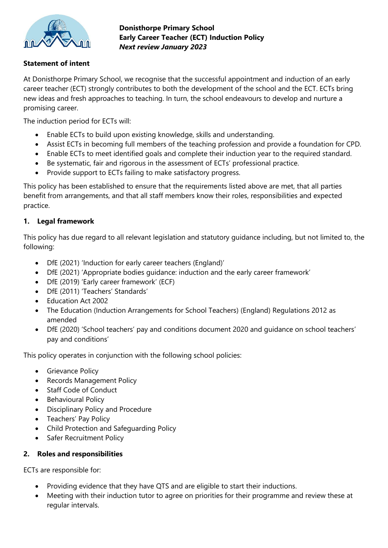

**Donisthorpe Primary School Early Career Teacher (ECT) Induction Policy**  *Next review January 2023*

### **Statement of intent**

At Donisthorpe Primary School, we recognise that the successful appointment and induction of an early career teacher (ECT) strongly contributes to both the development of the school and the ECT. ECTs bring new ideas and fresh approaches to teaching. In turn, the school endeavours to develop and nurture a promising career.

The induction period for ECTs will:

- Enable ECTs to build upon existing knowledge, skills and understanding.
- Assist ECTs in becoming full members of the teaching profession and provide a foundation for CPD.
- Enable ECTs to meet identified goals and complete their induction year to the required standard.
- Be systematic, fair and rigorous in the assessment of ECTs' professional practice.
- Provide support to ECTs failing to make satisfactory progress.

This policy has been established to ensure that the requirements listed above are met, that all parties benefit from arrangements, and that all staff members know their roles, responsibilities and expected practice.

### **1. Legal framework**

This policy has due regard to all relevant legislation and statutory guidance including, but not limited to, the following:

- DfE (2021) 'Induction for early career teachers (England)'
- DfE (2021) 'Appropriate bodies guidance: induction and the early career framework'
- DfE (2019) 'Early career framework' (ECF)
- DfE (2011) 'Teachers' Standards'
- Education Act 2002
- The Education (Induction Arrangements for School Teachers) (England) Regulations 2012 as amended
- DfE (2020) 'School teachers' pay and conditions document 2020 and guidance on school teachers' pay and conditions'

This policy operates in conjunction with the following school policies:

- Grievance Policy
- Records Management Policy
- Staff Code of Conduct
- Behavioural Policy
- Disciplinary Policy and Procedure
- Teachers' Pay Policy
- Child Protection and Safeguarding Policy
- Safer Recruitment Policy

#### **2. Roles and responsibilities**

ECTs are responsible for:

- Providing evidence that they have QTS and are eligible to start their inductions.
- Meeting with their induction tutor to agree on priorities for their programme and review these at regular intervals.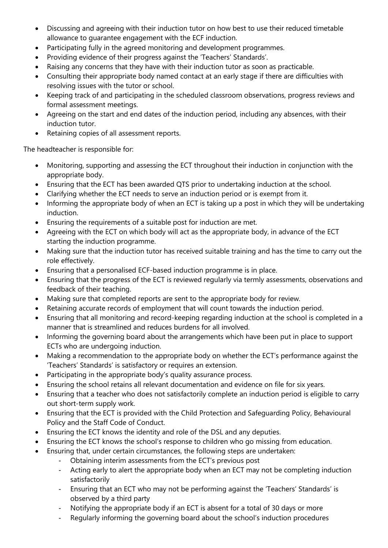- Discussing and agreeing with their induction tutor on how best to use their reduced timetable allowance to guarantee engagement with the ECF induction.
- Participating fully in the agreed monitoring and development programmes.
- Providing evidence of their progress against the 'Teachers' Standards'.
- Raising any concerns that they have with their induction tutor as soon as practicable.
- Consulting their appropriate body named contact at an early stage if there are difficulties with resolving issues with the tutor or school.
- Keeping track of and participating in the scheduled classroom observations, progress reviews and formal assessment meetings.
- Agreeing on the start and end dates of the induction period, including any absences, with their induction tutor.
- Retaining copies of all assessment reports.

The headteacher is responsible for:

- Monitoring, supporting and assessing the ECT throughout their induction in conjunction with the appropriate body.
- Ensuring that the ECT has been awarded QTS prior to undertaking induction at the school.
- Clarifying whether the ECT needs to serve an induction period or is exempt from it.
- Informing the appropriate body of when an ECT is taking up a post in which they will be undertaking induction.
- Ensuring the requirements of a suitable post for induction are met.
- Agreeing with the ECT on which body will act as the appropriate body, in advance of the ECT starting the induction programme.
- Making sure that the induction tutor has received suitable training and has the time to carry out the role effectively.
- Ensuring that a personalised ECF-based induction programme is in place.
- Ensuring that the progress of the ECT is reviewed regularly via termly assessments, observations and feedback of their teaching.
- Making sure that completed reports are sent to the appropriate body for review.
- Retaining accurate records of employment that will count towards the induction period.
- Ensuring that all monitoring and record-keeping regarding induction at the school is completed in a manner that is streamlined and reduces burdens for all involved.
- Informing the governing board about the arrangements which have been put in place to support ECTs who are undergoing induction.
- Making a recommendation to the appropriate body on whether the ECT's performance against the 'Teachers' Standards' is satisfactory or requires an extension.
- Participating in the appropriate body's quality assurance process.
- Ensuring the school retains all relevant documentation and evidence on file for six years.
- Ensuring that a teacher who does not satisfactorily complete an induction period is eligible to carry out short-term supply work.
- Ensuring that the ECT is provided with the Child Protection and Safeguarding Policy, Behavioural Policy and the Staff Code of Conduct.
- Ensuring the ECT knows the identity and role of the DSL and any deputies.
- Ensuring the ECT knows the school's response to children who go missing from education.
- Ensuring that, under certain circumstances, the following steps are undertaken:
	- Obtaining interim assessments from the ECT's previous post
	- Acting early to alert the appropriate body when an ECT may not be completing induction satisfactorily
	- Ensuring that an ECT who may not be performing against the 'Teachers' Standards' is observed by a third party
	- Notifying the appropriate body if an ECT is absent for a total of 30 days or more
	- Regularly informing the governing board about the school's induction procedures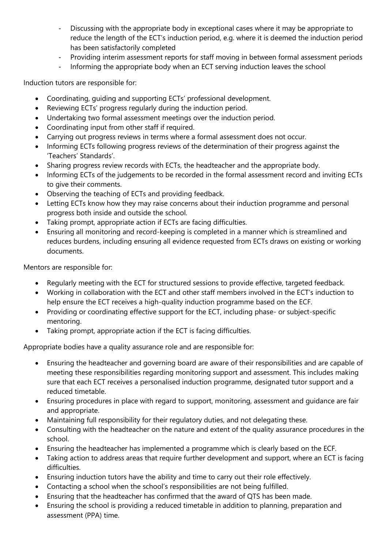- Discussing with the appropriate body in exceptional cases where it may be appropriate to reduce the length of the ECT's induction period, e.g. where it is deemed the induction period has been satisfactorily completed
- Providing interim assessment reports for staff moving in between formal assessment periods
- Informing the appropriate body when an ECT serving induction leaves the school

Induction tutors are responsible for:

- Coordinating, guiding and supporting ECTs' professional development.
- Reviewing ECTs' progress regularly during the induction period.
- Undertaking two formal assessment meetings over the induction period.
- Coordinating input from other staff if required.
- Carrying out progress reviews in terms where a formal assessment does not occur.
- Informing ECTs following progress reviews of the determination of their progress against the 'Teachers' Standards'.
- Sharing progress review records with ECTs, the headteacher and the appropriate body.
- Informing ECTs of the judgements to be recorded in the formal assessment record and inviting ECTs to give their comments.
- Observing the teaching of ECTs and providing feedback.
- Letting ECTs know how they may raise concerns about their induction programme and personal progress both inside and outside the school.
- Taking prompt, appropriate action if ECTs are facing difficulties.
- Ensuring all monitoring and record-keeping is completed in a manner which is streamlined and reduces burdens, including ensuring all evidence requested from ECTs draws on existing or working documents.

Mentors are responsible for:

- Regularly meeting with the ECT for structured sessions to provide effective, targeted feedback.
- Working in collaboration with the ECT and other staff members involved in the ECT's induction to help ensure the ECT receives a high-quality induction programme based on the ECF.
- Providing or coordinating effective support for the ECT, including phase- or subject-specific mentoring.
- Taking prompt, appropriate action if the ECT is facing difficulties.

Appropriate bodies have a quality assurance role and are responsible for:

- Ensuring the headteacher and governing board are aware of their responsibilities and are capable of meeting these responsibilities regarding monitoring support and assessment. This includes making sure that each ECT receives a personalised induction programme, designated tutor support and a reduced timetable.
- Ensuring procedures in place with regard to support, monitoring, assessment and guidance are fair and appropriate.
- Maintaining full responsibility for their regulatory duties, and not delegating these.
- Consulting with the headteacher on the nature and extent of the quality assurance procedures in the school.
- Ensuring the headteacher has implemented a programme which is clearly based on the ECF.
- Taking action to address areas that require further development and support, where an ECT is facing difficulties.
- Ensuring induction tutors have the ability and time to carry out their role effectively.
- Contacting a school when the school's responsibilities are not being fulfilled.
- Ensuring that the headteacher has confirmed that the award of QTS has been made.
- Ensuring the school is providing a reduced timetable in addition to planning, preparation and assessment (PPA) time.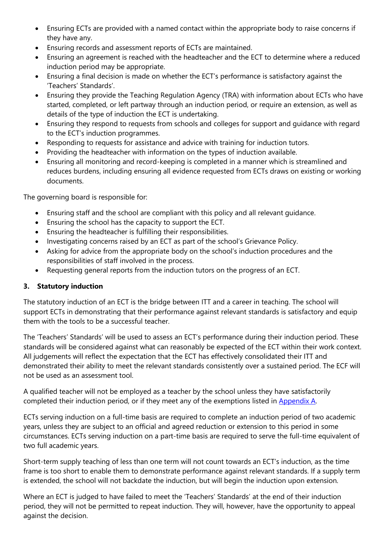- Ensuring ECTs are provided with a named contact within the appropriate body to raise concerns if they have any.
- Ensuring records and assessment reports of ECTs are maintained.
- Ensuring an agreement is reached with the headteacher and the ECT to determine where a reduced induction period may be appropriate.
- Ensuring a final decision is made on whether the ECT's performance is satisfactory against the 'Teachers' Standards'.
- Ensuring they provide the Teaching Regulation Agency (TRA) with information about ECTs who have started, completed, or left partway through an induction period, or require an extension, as well as details of the type of induction the ECT is undertaking.
- Ensuring they respond to requests from schools and colleges for support and guidance with regard to the ECT's induction programmes.
- Responding to requests for assistance and advice with training for induction tutors.
- Providing the headteacher with information on the types of induction available.
- Ensuring all monitoring and record-keeping is completed in a manner which is streamlined and reduces burdens, including ensuring all evidence requested from ECTs draws on existing or working documents.

The governing board is responsible for:

- Ensuring staff and the school are compliant with this policy and all relevant guidance.
- Ensuring the school has the capacity to support the ECT.
- Ensuring the headteacher is fulfilling their responsibilities.
- Investigating concerns raised by an ECT as part of the school's Grievance Policy.
- Asking for advice from the appropriate body on the school's induction procedures and the responsibilities of staff involved in the process.
- Requesting general reports from the induction tutors on the progress of an ECT.

# **3. Statutory induction**

The statutory induction of an ECT is the bridge between ITT and a career in teaching. The school will support ECTs in demonstrating that their performance against relevant standards is satisfactory and equip them with the tools to be a successful teacher.

The 'Teachers' Standards' will be used to assess an ECT's performance during their induction period. These standards will be considered against what can reasonably be expected of the ECT within their work context. All judgements will reflect the expectation that the ECT has effectively consolidated their ITT and demonstrated their ability to meet the relevant standards consistently over a sustained period. The ECF will not be used as an assessment tool.

A qualified teacher will not be employed as a teacher by the school unless they have satisfactorily completed their induction period, or if they meet any of the exemptions listed in [Appendix A.](#page-10-0)

ECTs serving induction on a full-time basis are required to complete an induction period of two academic years, unless they are subject to an official and agreed reduction or extension to this period in some circumstances. ECTs serving induction on a part-time basis are required to serve the full-time equivalent of two full academic years.

Short-term supply teaching of less than one term will not count towards an ECT's induction, as the time frame is too short to enable them to demonstrate performance against relevant standards. If a supply term is extended, the school will not backdate the induction, but will begin the induction upon extension.

Where an ECT is judged to have failed to meet the 'Teachers' Standards' at the end of their induction period, they will not be permitted to repeat induction. They will, however, have the opportunity to appeal against the decision.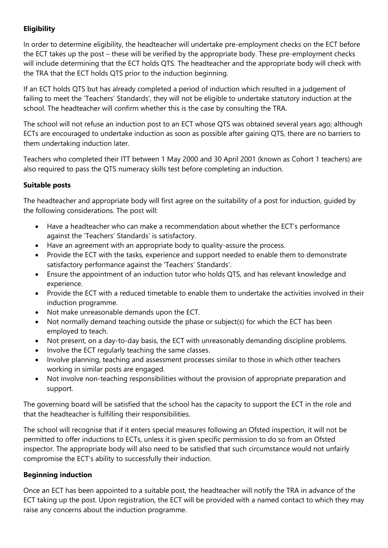# **Eligibility**

In order to determine eligibility, the headteacher will undertake pre-employment checks on the ECT before the ECT takes up the post – these will be verified by the appropriate body. These pre-employment checks will include determining that the ECT holds QTS. The headteacher and the appropriate body will check with the TRA that the ECT holds QTS prior to the induction beginning.

If an ECT holds QTS but has already completed a period of induction which resulted in a judgement of failing to meet the 'Teachers' Standards', they will not be eligible to undertake statutory induction at the school. The headteacher will confirm whether this is the case by consulting the TRA.

The school will not refuse an induction post to an ECT whose QTS was obtained several years ago; although ECTs are encouraged to undertake induction as soon as possible after gaining QTS, there are no barriers to them undertaking induction later.

Teachers who completed their ITT between 1 May 2000 and 30 April 2001 (known as Cohort 1 teachers) are also required to pass the QTS numeracy skills test before completing an induction.

# **Suitable posts**

The headteacher and appropriate body will first agree on the suitability of a post for induction, guided by the following considerations. The post will:

- Have a headteacher who can make a recommendation about whether the ECT's performance against the 'Teachers' Standards' is satisfactory.
- Have an agreement with an appropriate body to quality-assure the process.
- Provide the ECT with the tasks, experience and support needed to enable them to demonstrate satisfactory performance against the 'Teachers' Standards'.
- Ensure the appointment of an induction tutor who holds QTS, and has relevant knowledge and experience.
- Provide the ECT with a reduced timetable to enable them to undertake the activities involved in their induction programme.
- Not make unreasonable demands upon the ECT.
- Not normally demand teaching outside the phase or subject(s) for which the ECT has been employed to teach.
- Not present, on a day-to-day basis, the ECT with unreasonably demanding discipline problems.
- Involve the ECT regularly teaching the same classes.
- Involve planning, teaching and assessment processes similar to those in which other teachers working in similar posts are engaged.
- Not involve non-teaching responsibilities without the provision of appropriate preparation and support.

The governing board will be satisfied that the school has the capacity to support the ECT in the role and that the headteacher is fulfilling their responsibilities.

The school will recognise that if it enters special measures following an Ofsted inspection, it will not be permitted to offer inductions to ECTs, unless it is given specific permission to do so from an Ofsted inspector. The appropriate body will also need to be satisfied that such circumstance would not unfairly compromise the ECT's ability to successfully their induction.

# **Beginning induction**

Once an ECT has been appointed to a suitable post, the headteacher will notify the TRA in advance of the ECT taking up the post. Upon registration, the ECT will be provided with a named contact to which they may raise any concerns about the induction programme.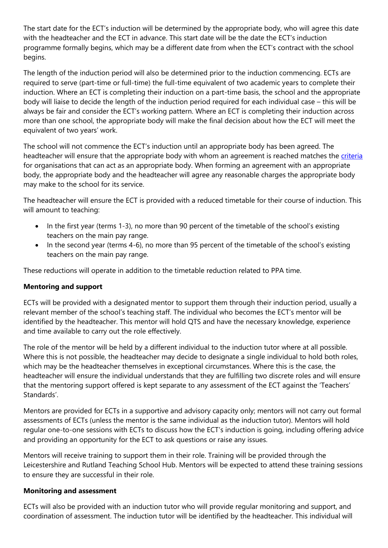The start date for the ECT's induction will be determined by the appropriate body, who will agree this date with the headteacher and the ECT in advance. This start date will be the date the ECT's induction programme formally begins, which may be a different date from when the ECT's contract with the school begins.

The length of the induction period will also be determined prior to the induction commencing. ECTs are required to serve (part-time or full-time) the full-time equivalent of two academic years to complete their induction. Where an ECT is completing their induction on a part-time basis, the school and the appropriate body will liaise to decide the length of the induction period required for each individual case – this will be always be fair and consider the ECT's working pattern. Where an ECT is completing their induction across more than one school, the appropriate body will make the final decision about how the ECT will meet the equivalent of two years' work.

The school will not commence the ECT's induction until an appropriate body has been agreed. The headteacher will ensure that the appropriate body with whom an agreement is reached matches the [criteria](https://www.gov.uk/government/publications/appropriate-bodies-guidance-induction-and-the-early-career-framework) for organisations that can act as an appropriate body. When forming an agreement with an appropriate body, the appropriate body and the headteacher will agree any reasonable charges the appropriate body may make to the school for its service.

The headteacher will ensure the ECT is provided with a reduced timetable for their course of induction. This will amount to teaching:

- In the first year (terms 1-3), no more than 90 percent of the timetable of the school's existing teachers on the main pay range.
- In the second year (terms 4-6), no more than 95 percent of the timetable of the school's existing teachers on the main pay range.

These reductions will operate in addition to the timetable reduction related to PPA time.

# **Mentoring and support**

ECTs will be provided with a designated mentor to support them through their induction period, usually a relevant member of the school's teaching staff. The individual who becomes the ECT's mentor will be identified by the headteacher. This mentor will hold QTS and have the necessary knowledge, experience and time available to carry out the role effectively.

The role of the mentor will be held by a different individual to the induction tutor where at all possible. Where this is not possible, the headteacher may decide to designate a single individual to hold both roles, which may be the headteacher themselves in exceptional circumstances. Where this is the case, the headteacher will ensure the individual understands that they are fulfilling two discrete roles and will ensure that the mentoring support offered is kept separate to any assessment of the ECT against the 'Teachers' Standards'.

Mentors are provided for ECTs in a supportive and advisory capacity only; mentors will not carry out formal assessments of ECTs (unless the mentor is the same individual as the induction tutor). Mentors will hold regular one-to-one sessions with ECTs to discuss how the ECT's induction is going, including offering advice and providing an opportunity for the ECT to ask questions or raise any issues.

Mentors will receive training to support them in their role. Training will be provided through the Leicestershire and Rutland Teaching School Hub. Mentors will be expected to attend these training sessions to ensure they are successful in their role.

#### **Monitoring and assessment**

ECTs will also be provided with an induction tutor who will provide regular monitoring and support, and coordination of assessment. The induction tutor will be identified by the headteacher. This individual will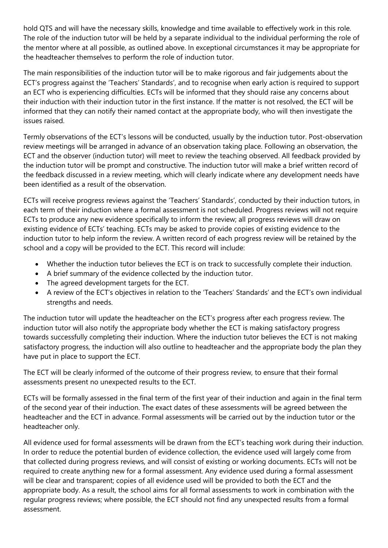hold QTS and will have the necessary skills, knowledge and time available to effectively work in this role. The role of the induction tutor will be held by a separate individual to the individual performing the role of the mentor where at all possible, as outlined above. In exceptional circumstances it may be appropriate for the headteacher themselves to perform the role of induction tutor.

The main responsibilities of the induction tutor will be to make rigorous and fair judgements about the ECT's progress against the 'Teachers' Standards', and to recognise when early action is required to support an ECT who is experiencing difficulties. ECTs will be informed that they should raise any concerns about their induction with their induction tutor in the first instance. If the matter is not resolved, the ECT will be informed that they can notify their named contact at the appropriate body, who will then investigate the issues raised.

Termly observations of the ECT's lessons will be conducted, usually by the induction tutor. Post-observation review meetings will be arranged in advance of an observation taking place. Following an observation, the ECT and the observer (induction tutor) will meet to review the teaching observed. All feedback provided by the induction tutor will be prompt and constructive. The induction tutor will make a brief written record of the feedback discussed in a review meeting, which will clearly indicate where any development needs have been identified as a result of the observation.

ECTs will receive progress reviews against the 'Teachers' Standards', conducted by their induction tutors, in each term of their induction where a formal assessment is not scheduled. Progress reviews will not require ECTs to produce any new evidence specifically to inform the review; all progress reviews will draw on existing evidence of ECTs' teaching. ECTs may be asked to provide copies of existing evidence to the induction tutor to help inform the review. A written record of each progress review will be retained by the school and a copy will be provided to the ECT. This record will include:

- Whether the induction tutor believes the ECT is on track to successfully complete their induction.
- A brief summary of the evidence collected by the induction tutor.
- The agreed development targets for the ECT.
- A review of the ECT's objectives in relation to the 'Teachers' Standards' and the ECT's own individual strengths and needs.

The induction tutor will update the headteacher on the ECT's progress after each progress review. The induction tutor will also notify the appropriate body whether the ECT is making satisfactory progress towards successfully completing their induction. Where the induction tutor believes the ECT is not making satisfactory progress, the induction will also outline to headteacher and the appropriate body the plan they have put in place to support the ECT.

The ECT will be clearly informed of the outcome of their progress review, to ensure that their formal assessments present no unexpected results to the ECT.

ECTs will be formally assessed in the final term of the first year of their induction and again in the final term of the second year of their induction. The exact dates of these assessments will be agreed between the headteacher and the ECT in advance. Formal assessments will be carried out by the induction tutor or the headteacher only.

All evidence used for formal assessments will be drawn from the ECT's teaching work during their induction. In order to reduce the potential burden of evidence collection, the evidence used will largely come from that collected during progress reviews, and will consist of existing or working documents. ECTs will not be required to create anything new for a formal assessment. Any evidence used during a formal assessment will be clear and transparent; copies of all evidence used will be provided to both the ECT and the appropriate body. As a result, the school aims for all formal assessments to work in combination with the regular progress reviews; where possible, the ECT should not find any unexpected results from a formal assessment.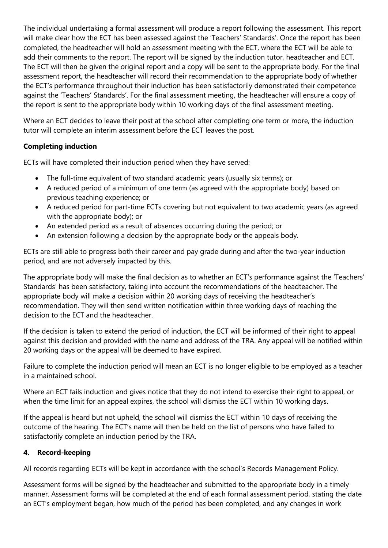The individual undertaking a formal assessment will produce a report following the assessment. This report will make clear how the ECT has been assessed against the 'Teachers' Standards'. Once the report has been completed, the headteacher will hold an assessment meeting with the ECT, where the ECT will be able to add their comments to the report. The report will be signed by the induction tutor, headteacher and ECT. The ECT will then be given the original report and a copy will be sent to the appropriate body. For the final assessment report, the headteacher will record their recommendation to the appropriate body of whether the ECT's performance throughout their induction has been satisfactorily demonstrated their competence against the 'Teachers' Standards'. For the final assessment meeting, the headteacher will ensure a copy of the report is sent to the appropriate body within 10 working days of the final assessment meeting.

Where an ECT decides to leave their post at the school after completing one term or more, the induction tutor will complete an interim assessment before the ECT leaves the post.

# **Completing induction**

ECTs will have completed their induction period when they have served:

- The full-time equivalent of two standard academic years (usually six terms); or
- A reduced period of a minimum of one term (as agreed with the appropriate body) based on previous teaching experience; or
- A reduced period for part-time ECTs covering but not equivalent to two academic years (as agreed with the appropriate body); or
- An extended period as a result of absences occurring during the period; or
- An extension following a decision by the appropriate body or the appeals body.

ECTs are still able to progress both their career and pay grade during and after the two-year induction period, and are not adversely impacted by this.

The appropriate body will make the final decision as to whether an ECT's performance against the 'Teachers' Standards' has been satisfactory, taking into account the recommendations of the headteacher. The appropriate body will make a decision within 20 working days of receiving the headteacher's recommendation. They will then send written notification within three working days of reaching the decision to the ECT and the headteacher.

If the decision is taken to extend the period of induction, the ECT will be informed of their right to appeal against this decision and provided with the name and address of the TRA. Any appeal will be notified within 20 working days or the appeal will be deemed to have expired.

Failure to complete the induction period will mean an ECT is no longer eligible to be employed as a teacher in a maintained school.

Where an ECT fails induction and gives notice that they do not intend to exercise their right to appeal, or when the time limit for an appeal expires, the school will dismiss the ECT within 10 working days.

If the appeal is heard but not upheld, the school will dismiss the ECT within 10 days of receiving the outcome of the hearing. The ECT's name will then be held on the list of persons who have failed to satisfactorily complete an induction period by the TRA.

#### **4. Record-keeping**

All records regarding ECTs will be kept in accordance with the school's Records Management Policy.

Assessment forms will be signed by the headteacher and submitted to the appropriate body in a timely manner. Assessment forms will be completed at the end of each formal assessment period, stating the date an ECT's employment began, how much of the period has been completed, and any changes in work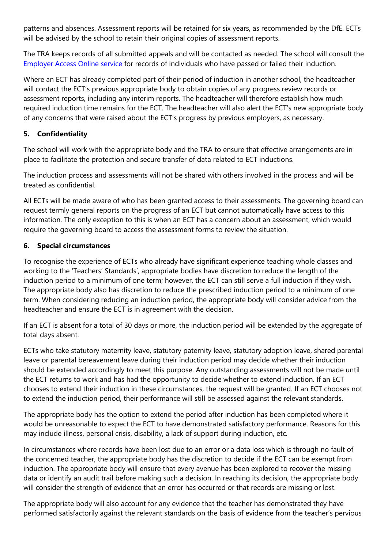patterns and absences. Assessment reports will be retained for six years, as recommended by the DfE. ECTs will be advised by the school to retain their original copies of assessment reports.

The TRA keeps records of all submitted appeals and will be contacted as needed. The school will consult the [Employer Access Online service](https://www.gov.uk/guidance/teacher-status-checks-information-for-employers) for records of individuals who have passed or failed their induction.

Where an ECT has already completed part of their period of induction in another school, the headteacher will contact the ECT's previous appropriate body to obtain copies of any progress review records or assessment reports, including any interim reports. The headteacher will therefore establish how much required induction time remains for the ECT. The headteacher will also alert the ECT's new appropriate body of any concerns that were raised about the ECT's progress by previous employers, as necessary.

# **5. Confidentiality**

The school will work with the appropriate body and the TRA to ensure that effective arrangements are in place to facilitate the protection and secure transfer of data related to ECT inductions.

The induction process and assessments will not be shared with others involved in the process and will be treated as confidential.

All ECTs will be made aware of who has been granted access to their assessments. The governing board can request termly general reports on the progress of an ECT but cannot automatically have access to this information. The only exception to this is when an ECT has a concern about an assessment, which would require the governing board to access the assessment forms to review the situation.

# **6. Special circumstances**

To recognise the experience of ECTs who already have significant experience teaching whole classes and working to the 'Teachers' Standards', appropriate bodies have discretion to reduce the length of the induction period to a minimum of one term; however, the ECT can still serve a full induction if they wish. The appropriate body also has discretion to reduce the prescribed induction period to a minimum of one term. When considering reducing an induction period, the appropriate body will consider advice from the headteacher and ensure the ECT is in agreement with the decision.

If an ECT is absent for a total of 30 days or more, the induction period will be extended by the aggregate of total days absent.

ECTs who take statutory maternity leave, statutory paternity leave, statutory adoption leave, shared parental leave or parental bereavement leave during their induction period may decide whether their induction should be extended accordingly to meet this purpose. Any outstanding assessments will not be made until the ECT returns to work and has had the opportunity to decide whether to extend induction. If an ECT chooses to extend their induction in these circumstances, the request will be granted. If an ECT chooses not to extend the induction period, their performance will still be assessed against the relevant standards.

The appropriate body has the option to extend the period after induction has been completed where it would be unreasonable to expect the ECT to have demonstrated satisfactory performance. Reasons for this may include illness, personal crisis, disability, a lack of support during induction, etc.

In circumstances where records have been lost due to an error or a data loss which is through no fault of the concerned teacher, the appropriate body has the discretion to decide if the ECT can be exempt from induction. The appropriate body will ensure that every avenue has been explored to recover the missing data or identify an audit trail before making such a decision. In reaching its decision, the appropriate body will consider the strength of evidence that an error has occurred or that records are missing or lost.

The appropriate body will also account for any evidence that the teacher has demonstrated they have performed satisfactorily against the relevant standards on the basis of evidence from the teacher's pervious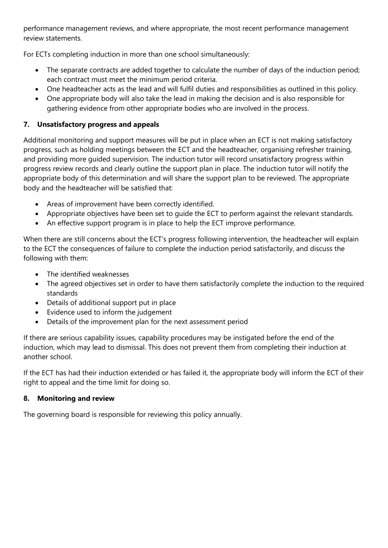performance management reviews, and where appropriate, the most recent performance management review statements.

For ECTs completing induction in more than one school simultaneously:

- The separate contracts are added together to calculate the number of days of the induction period; each contract must meet the minimum period criteria.
- One headteacher acts as the lead and will fulfil duties and responsibilities as outlined in this policy.
- One appropriate body will also take the lead in making the decision and is also responsible for gathering evidence from other appropriate bodies who are involved in the process.

### **7. Unsatisfactory progress and appeals**

Additional monitoring and support measures will be put in place when an ECT is not making satisfactory progress, such as holding meetings between the ECT and the headteacher, organising refresher training, and providing more guided supervision. The induction tutor will record unsatisfactory progress within progress review records and clearly outline the support plan in place. The induction tutor will notify the appropriate body of this determination and will share the support plan to be reviewed. The appropriate body and the headteacher will be satisfied that:

- Areas of improvement have been correctly identified.
- Appropriate objectives have been set to guide the ECT to perform against the relevant standards.
- An effective support program is in place to help the ECT improve performance.

When there are still concerns about the ECT's progress following intervention, the headteacher will explain to the ECT the consequences of failure to complete the induction period satisfactorily, and discuss the following with them:

- The identified weaknesses
- The agreed objectives set in order to have them satisfactorily complete the induction to the required standards
- Details of additional support put in place
- Evidence used to inform the judgement
- Details of the improvement plan for the next assessment period

If there are serious capability issues, capability procedures may be instigated before the end of the induction, which may lead to dismissal. This does not prevent them from completing their induction at another school.

If the ECT has had their induction extended or has failed it, the appropriate body will inform the ECT of their right to appeal and the time limit for doing so.

#### **8. Monitoring and review**

The governing board is responsible for reviewing this policy annually.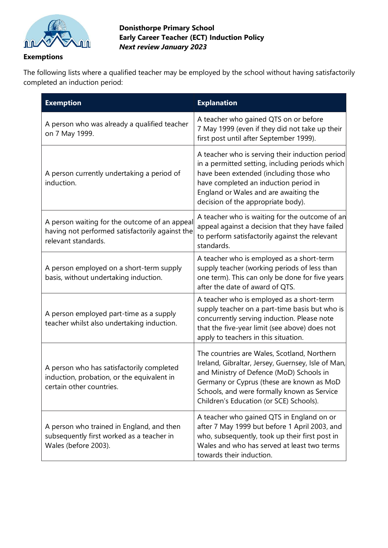

<span id="page-10-0"></span>**Exemptions** 

### **Donisthorpe Primary School Early Career Teacher (ECT) Induction Policy**  *Next review January 2023*

The following lists where a qualified teacher may be employed by the school without having satisfactorily completed an induction period:

| <b>Exemption</b>                                                                                                        | <b>Explanation</b>                                                                                                                                                                                                                                                                   |
|-------------------------------------------------------------------------------------------------------------------------|--------------------------------------------------------------------------------------------------------------------------------------------------------------------------------------------------------------------------------------------------------------------------------------|
| A person who was already a qualified teacher<br>on 7 May 1999.                                                          | A teacher who gained QTS on or before<br>7 May 1999 (even if they did not take up their<br>first post until after September 1999).                                                                                                                                                   |
| A person currently undertaking a period of<br>induction.                                                                | A teacher who is serving their induction period<br>in a permitted setting, including periods which<br>have been extended (including those who<br>have completed an induction period in<br>England or Wales and are awaiting the<br>decision of the appropriate body).                |
| A person waiting for the outcome of an appeal<br>having not performed satisfactorily against the<br>relevant standards. | A teacher who is waiting for the outcome of an<br>appeal against a decision that they have failed<br>to perform satisfactorily against the relevant<br>standards.                                                                                                                    |
| A person employed on a short-term supply<br>basis, without undertaking induction.                                       | A teacher who is employed as a short-term<br>supply teacher (working periods of less than<br>one term). This can only be done for five years<br>after the date of award of QTS.                                                                                                      |
| A person employed part-time as a supply<br>teacher whilst also undertaking induction.                                   | A teacher who is employed as a short-term<br>supply teacher on a part-time basis but who is<br>concurrently serving induction. Please note<br>that the five-year limit (see above) does not<br>apply to teachers in this situation.                                                  |
| A person who has satisfactorily completed<br>induction, probation, or the equivalent in<br>certain other countries.     | The countries are Wales, Scotland, Northern<br>Ireland, Gibraltar, Jersey, Guernsey, Isle of Man,<br>and Ministry of Defence (MoD) Schools in<br>Germany or Cyprus (these are known as MoD<br>Schools, and were formally known as Service<br>Children's Education (or SCE) Schools). |
| A person who trained in England, and then<br>subsequently first worked as a teacher in<br>Wales (before 2003).          | A teacher who gained QTS in England on or<br>after 7 May 1999 but before 1 April 2003, and<br>who, subsequently, took up their first post in<br>Wales and who has served at least two terms<br>towards their induction.                                                              |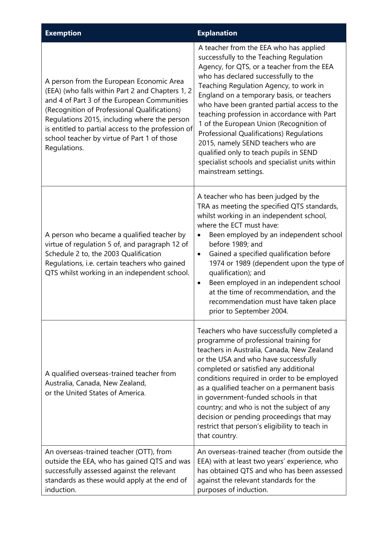| <b>Exemption</b>                                                                                                                                                                                                                                                                                                                                                 | <b>Explanation</b>                                                                                                                                                                                                                                                                                                                                                                                                                                                                                                                                                                                            |
|------------------------------------------------------------------------------------------------------------------------------------------------------------------------------------------------------------------------------------------------------------------------------------------------------------------------------------------------------------------|---------------------------------------------------------------------------------------------------------------------------------------------------------------------------------------------------------------------------------------------------------------------------------------------------------------------------------------------------------------------------------------------------------------------------------------------------------------------------------------------------------------------------------------------------------------------------------------------------------------|
| A person from the European Economic Area<br>(EEA) (who falls within Part 2 and Chapters 1, 2<br>and 4 of Part 3 of the European Communities<br>(Recognition of Professional Qualifications)<br>Regulations 2015, including where the person<br>is entitled to partial access to the profession of<br>school teacher by virtue of Part 1 of those<br>Regulations. | A teacher from the EEA who has applied<br>successfully to the Teaching Regulation<br>Agency, for QTS, or a teacher from the EEA<br>who has declared successfully to the<br>Teaching Regulation Agency, to work in<br>England on a temporary basis, or teachers<br>who have been granted partial access to the<br>teaching profession in accordance with Part<br>1 of the European Union (Recognition of<br>Professional Qualifications) Regulations<br>2015, namely SEND teachers who are<br>qualified only to teach pupils in SEND<br>specialist schools and specialist units within<br>mainstream settings. |
| A person who became a qualified teacher by<br>virtue of regulation 5 of, and paragraph 12 of<br>Schedule 2 to, the 2003 Qualification<br>Regulations, i.e. certain teachers who gained<br>QTS whilst working in an independent school.                                                                                                                           | A teacher who has been judged by the<br>TRA as meeting the specified QTS standards,<br>whilst working in an independent school,<br>where the ECT must have:<br>Been employed by an independent school<br>before 1989; and<br>Gained a specified qualification before<br>٠<br>1974 or 1989 (dependent upon the type of<br>qualification); and<br>Been employed in an independent school<br>٠<br>at the time of recommendation, and the<br>recommendation must have taken place<br>prior to September 2004.                                                                                                     |
| A qualified overseas-trained teacher from<br>Australia, Canada, New Zealand,<br>or the United States of America.                                                                                                                                                                                                                                                 | Teachers who have successfully completed a<br>programme of professional training for<br>teachers in Australia, Canada, New Zealand<br>or the USA and who have successfully<br>completed or satisfied any additional<br>conditions required in order to be employed<br>as a qualified teacher on a permanent basis<br>in government-funded schools in that<br>country; and who is not the subject of any<br>decision or pending proceedings that may<br>restrict that person's eligibility to teach in<br>that country.                                                                                        |
| An overseas-trained teacher (OTT), from<br>outside the EEA, who has gained QTS and was<br>successfully assessed against the relevant<br>standards as these would apply at the end of<br>induction.                                                                                                                                                               | An overseas-trained teacher (from outside the<br>EEA) with at least two years' experience, who<br>has obtained QTS and who has been assessed<br>against the relevant standards for the<br>purposes of induction.                                                                                                                                                                                                                                                                                                                                                                                              |